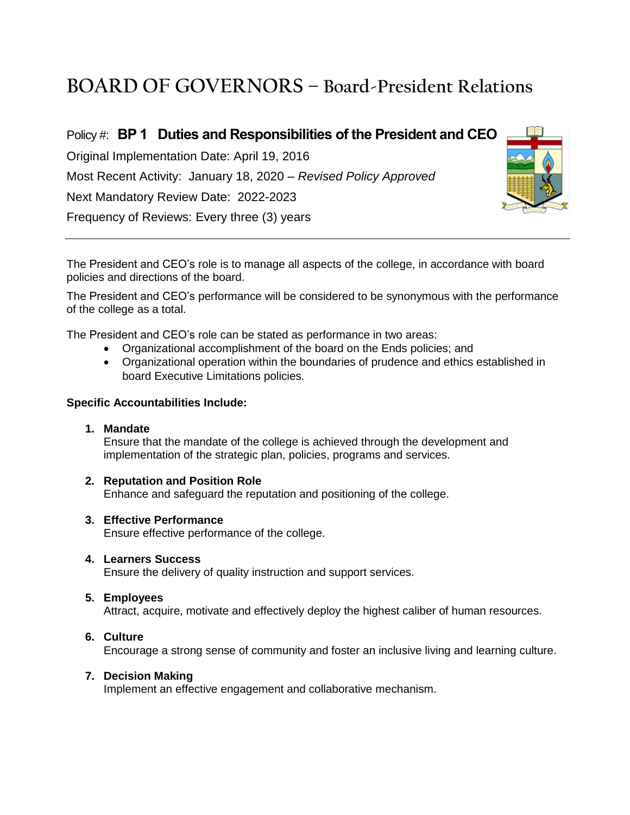# **BOARD OF GOVERNORS – Board-President Relations**

Policy #: **BP 1 Duties and Responsibilities of the President and CEO** Original Implementation Date: April 19, 2016 Most Recent Activity: January 18, 2020 – *Revised Policy Approved* Next Mandatory Review Date: 2022-2023 Frequency of Reviews: Every three (3) years



The President and CEO's role is to manage all aspects of the college, in accordance with board policies and directions of the board.

The President and CEO's performance will be considered to be synonymous with the performance of the college as a total.

The President and CEO's role can be stated as performance in two areas:

- Organizational accomplishment of the board on the Ends policies; and
- Organizational operation within the boundaries of prudence and ethics established in board Executive Limitations policies*.*

#### **Specific Accountabilities Include:**

**1. Mandate** 

Ensure that the mandate of the college is achieved through the development and implementation of the strategic plan, policies, programs and services.

**2. Reputation and Position Role**

Enhance and safeguard the reputation and positioning of the college.

#### **3. Effective Performance**

Ensure effective performance of the college.

#### **4. Learners Success**

Ensure the delivery of quality instruction and support services.

#### **5. Employees**

Attract, acquire, motivate and effectively deploy the highest caliber of human resources.

#### **6. Culture**

Encourage a strong sense of community and foster an inclusive living and learning culture.

#### **7. Decision Making**

Implement an effective engagement and collaborative mechanism.